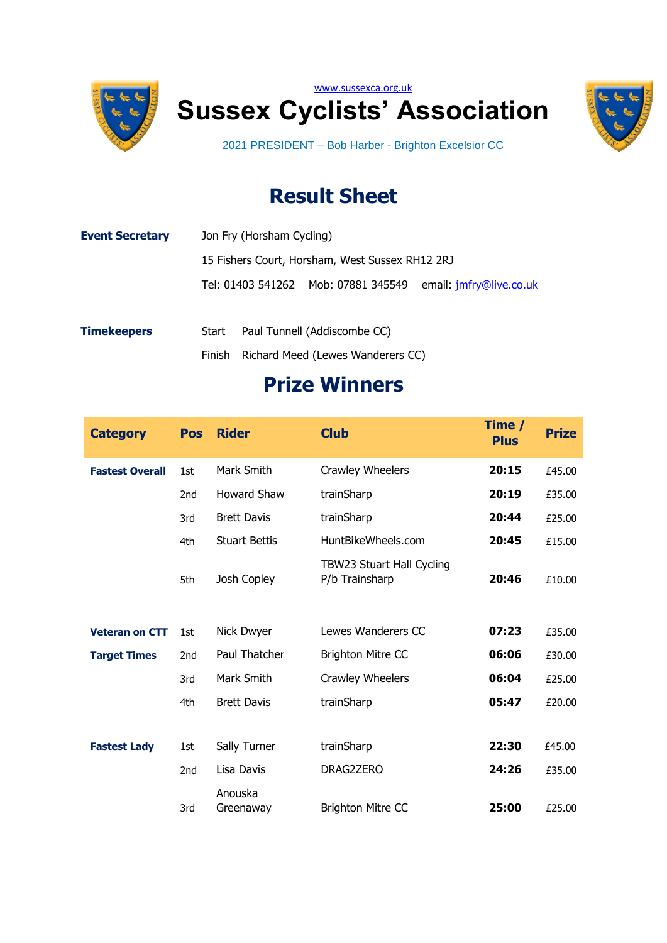





2021 PRESIDENT – Bob Harber - Brighton Excelsior CC

## **Result Sheet**

| <b>Event Secretary</b> |       | Jon Fry (Horsham Cycling) |                                                 |                         |
|------------------------|-------|---------------------------|-------------------------------------------------|-------------------------|
|                        |       |                           | 15 Fishers Court, Horsham, West Sussex RH12 2RJ |                         |
|                        |       |                           | Tel: 01403 541262 Mob: 07881 345549             | email: jmfry@live.co.uk |
| <b>Timekeepers</b>     | Start |                           | Paul Tunnell (Addiscombe CC)                    |                         |

Finish Richard Meed (Lewes Wanderers CC)

## **Prize Winners**

| <b>Category</b>        | <b>Pos</b>      | <b>Rider</b>         | <b>Club</b>                                 | Time /<br><b>Plus</b> | <b>Prize</b> |
|------------------------|-----------------|----------------------|---------------------------------------------|-----------------------|--------------|
| <b>Fastest Overall</b> | 1st             | Mark Smith           | Crawley Wheelers                            | 20:15                 | £45.00       |
|                        | 2nd             | <b>Howard Shaw</b>   | trainSharp                                  | 20:19                 | £35.00       |
|                        | 3rd             | <b>Brett Davis</b>   | trainSharp                                  | 20:44                 | £25.00       |
|                        | 4th             | <b>Stuart Bettis</b> | HuntBikeWheels.com                          | 20:45                 | £15.00       |
|                        | 5th             | Josh Copley          | TBW23 Stuart Hall Cycling<br>P/b Trainsharp | 20:46                 | £10.00       |
| <b>Veteran on CTT</b>  | 1st             | Nick Dwyer           | Lewes Wanderers CC                          | 07:23                 | £35.00       |
| <b>Target Times</b>    | 2 <sub>nd</sub> | Paul Thatcher        | <b>Brighton Mitre CC</b>                    | 06:06                 | £30.00       |
|                        | 3rd             | Mark Smith           | Crawley Wheelers                            | 06:04                 | £25.00       |
|                        | 4th             | <b>Brett Davis</b>   | trainSharp                                  | 05:47                 | £20.00       |
|                        |                 |                      |                                             |                       |              |
| <b>Fastest Lady</b>    | 1st             | Sally Turner         | trainSharp                                  | 22:30                 | £45.00       |
|                        | 2nd             | Lisa Davis           | DRAG2ZERO                                   | 24:26                 | £35.00       |
|                        | 3rd             | Anouska<br>Greenaway | <b>Brighton Mitre CC</b>                    | 25:00                 | £25.00       |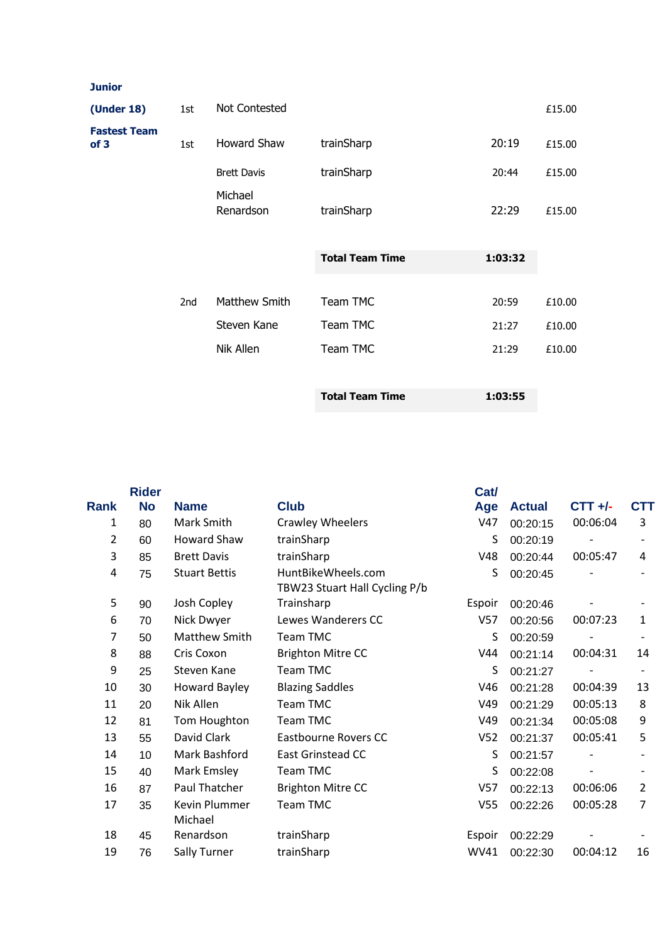## **Junior**

| (Under 18)                             | 1st | Not Contested        |                        |         | £15.00 |
|----------------------------------------|-----|----------------------|------------------------|---------|--------|
| <b>Fastest Team</b><br>of <sub>3</sub> | 1st | <b>Howard Shaw</b>   | trainSharp             | 20:19   | £15.00 |
|                                        |     | <b>Brett Davis</b>   | trainSharp             | 20:44   | £15.00 |
|                                        |     | Michael<br>Renardson | trainSharp             | 22:29   | £15.00 |
|                                        |     |                      | <b>Total Team Time</b> | 1:03:32 |        |
|                                        |     |                      |                        |         |        |
|                                        | 2nd | Matthew Smith        | Team TMC               | 20:59   | £10.00 |
|                                        |     | Steven Kane          | Team TMC               | 21:27   | £10.00 |
|                                        |     | Nik Allen            | Team TMC               | 21:29   | £10.00 |
|                                        |     |                      |                        |         |        |
|                                        |     |                      | <b>Total Team Time</b> | 1:03:55 |        |

|                | <b>Rider</b> |                          |                                                     | Cat/            |               |           |                |
|----------------|--------------|--------------------------|-----------------------------------------------------|-----------------|---------------|-----------|----------------|
| Rank           | <b>No</b>    | <b>Name</b>              | <b>Club</b>                                         | Age             | <b>Actual</b> | $CTT +/-$ | CTT            |
| 1              | 80           | Mark Smith               | <b>Crawley Wheelers</b>                             | V47             | 00:20:15      | 00:06:04  | 3              |
| $\overline{2}$ | 60           | Howard Shaw              | trainSharp                                          | S               | 00:20:19      |           |                |
| 3              | 85           | <b>Brett Davis</b>       | trainSharp                                          | V48             | 00:20:44      | 00:05:47  | 4              |
| 4              | 75           | <b>Stuart Bettis</b>     | HuntBikeWheels.com<br>TBW23 Stuart Hall Cycling P/b | S               | 00:20:45      |           |                |
| 5              | 90           | Josh Copley              | Trainsharp                                          | Espoir          | 00:20:46      |           |                |
| 6              | 70           | Nick Dwyer               | Lewes Wanderers CC                                  | V57             | 00:20:56      | 00:07:23  | 1              |
| 7              | 50           | <b>Matthew Smith</b>     | <b>Team TMC</b>                                     | S               | 00:20:59      |           |                |
| 8              | 88           | Cris Coxon               | <b>Brighton Mitre CC</b>                            | V44             | 00:21:14      | 00:04:31  | 14             |
| 9              | 25           | Steven Kane              | Team TMC                                            | S               | 00:21:27      |           |                |
| 10             | 30           | <b>Howard Bayley</b>     | <b>Blazing Saddles</b>                              | V46             | 00:21:28      | 00:04:39  | 13             |
| 11             | 20           | Nik Allen                | <b>Team TMC</b>                                     | V49             | 00:21:29      | 00:05:13  | 8              |
| 12             | 81           | Tom Houghton             | <b>Team TMC</b>                                     | V49             | 00:21:34      | 00:05:08  | 9              |
| 13             | 55           | David Clark              | Eastbourne Rovers CC                                | V <sub>52</sub> | 00:21:37      | 00:05:41  | 5              |
| 14             | 10           | Mark Bashford            | <b>East Grinstead CC</b>                            | S               | 00:21:57      |           |                |
| 15             | 40           | Mark Emsley              | Team TMC                                            | S               | 00:22:08      |           |                |
| 16             | 87           | <b>Paul Thatcher</b>     | <b>Brighton Mitre CC</b>                            | V <sub>57</sub> | 00:22:13      | 00:06:06  | $\overline{2}$ |
| 17             | 35           | Kevin Plummer<br>Michael | <b>Team TMC</b>                                     | V <sub>55</sub> | 00:22:26      | 00:05:28  | 7              |
| 18             | 45           | Renardson                | trainSharp                                          | Espoir          | 00:22:29      |           |                |
| 19             | 76           | Sally Turner             | trainSharp                                          | <b>WV41</b>     | 00:22:30      | 00:04:12  | 16             |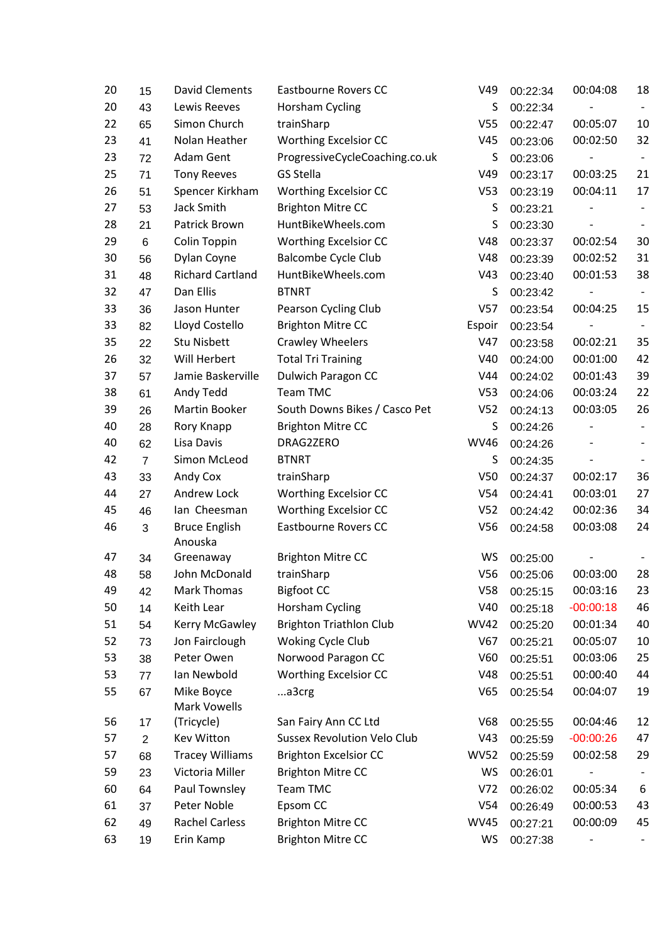| 20 | 15             | <b>David Clements</b>             | Eastbourne Rovers CC               | V49             | 00:22:34 | 00:04:08    | 18 |
|----|----------------|-----------------------------------|------------------------------------|-----------------|----------|-------------|----|
| 20 | 43             | Lewis Reeves                      | Horsham Cycling                    | S               | 00:22:34 |             |    |
| 22 | 65             | Simon Church                      | trainSharp                         | V <sub>55</sub> | 00:22:47 | 00:05:07    | 10 |
| 23 | 41             | Nolan Heather                     | <b>Worthing Excelsior CC</b>       | V45             | 00:23:06 | 00:02:50    | 32 |
| 23 | 72             | Adam Gent                         | ProgressiveCycleCoaching.co.uk     | S               | 00:23:06 |             |    |
| 25 | 71             | <b>Tony Reeves</b>                | GS Stella                          | V49             | 00:23:17 | 00:03:25    | 21 |
| 26 | 51             | Spencer Kirkham                   | <b>Worthing Excelsior CC</b>       | V <sub>53</sub> | 00:23:19 | 00:04:11    | 17 |
| 27 | 53             | Jack Smith                        | <b>Brighton Mitre CC</b>           | S               | 00:23:21 |             |    |
| 28 | 21             | Patrick Brown                     | HuntBikeWheels.com                 | S               | 00:23:30 |             |    |
| 29 | 6              | Colin Toppin                      | <b>Worthing Excelsior CC</b>       | V48             | 00:23:37 | 00:02:54    | 30 |
| 30 | 56             | Dylan Coyne                       | <b>Balcombe Cycle Club</b>         | V48             | 00:23:39 | 00:02:52    | 31 |
| 31 | 48             | <b>Richard Cartland</b>           | HuntBikeWheels.com                 | V43             | 00:23:40 | 00:01:53    | 38 |
| 32 | 47             | Dan Ellis                         | <b>BTNRT</b>                       | S               | 00:23:42 |             |    |
| 33 | 36             | Jason Hunter                      | Pearson Cycling Club               | V <sub>57</sub> | 00:23:54 | 00:04:25    | 15 |
| 33 | 82             | Lloyd Costello                    | <b>Brighton Mitre CC</b>           | Espoir          | 00:23:54 |             |    |
| 35 | 22             | <b>Stu Nisbett</b>                | <b>Crawley Wheelers</b>            | V47             | 00:23:58 | 00:02:21    | 35 |
| 26 | 32             | Will Herbert                      | <b>Total Tri Training</b>          | V40             | 00:24:00 | 00:01:00    | 42 |
| 37 | 57             | Jamie Baskerville                 | Dulwich Paragon CC                 | V44             | 00:24:02 | 00:01:43    | 39 |
| 38 | 61             | Andy Tedd                         | Team TMC                           | V <sub>53</sub> | 00:24:06 | 00:03:24    | 22 |
| 39 | 26             | Martin Booker                     | South Downs Bikes / Casco Pet      | V <sub>52</sub> | 00:24:13 | 00:03:05    | 26 |
| 40 | 28             | Rory Knapp                        | <b>Brighton Mitre CC</b>           | S               | 00:24:26 |             |    |
| 40 | 62             | Lisa Davis                        | DRAG2ZERO                          | <b>WV46</b>     | 00:24:26 |             |    |
| 42 | $\overline{7}$ | Simon McLeod                      | <b>BTNRT</b>                       | S               | 00:24:35 |             |    |
| 43 | 33             | Andy Cox                          | trainSharp                         | V <sub>50</sub> | 00:24:37 | 00:02:17    | 36 |
| 44 | 27             | Andrew Lock                       | <b>Worthing Excelsior CC</b>       | V <sub>54</sub> | 00:24:41 | 00:03:01    | 27 |
| 45 | 46             | lan Cheesman                      | <b>Worthing Excelsior CC</b>       | V <sub>52</sub> | 00:24:42 | 00:02:36    | 34 |
| 46 | 3              | <b>Bruce English</b>              | <b>Eastbourne Rovers CC</b>        | V56             | 00:24:58 | 00:03:08    | 24 |
|    |                | Anouska                           |                                    |                 |          |             |    |
| 47 | 34             | Greenaway                         | <b>Brighton Mitre CC</b>           | WS              | 00:25:00 |             |    |
| 48 | 58             | John McDonald                     | trainSharp                         | V56             | 00:25:06 | 00:03:00    | 28 |
| 49 | 42             | <b>Mark Thomas</b>                | <b>Bigfoot CC</b>                  | V58             | 00:25:15 | 00:03:16    | 23 |
| 50 | 14             | Keith Lear                        | Horsham Cycling                    | V40             | 00:25:18 | $-00:00:18$ | 46 |
| 51 | 54             | Kerry McGawley                    | <b>Brighton Triathlon Club</b>     | <b>WV42</b>     | 00:25:20 | 00:01:34    | 40 |
| 52 | 73             | Jon Fairclough                    | Woking Cycle Club                  | V67             | 00:25:21 | 00:05:07    | 10 |
| 53 | 38             | Peter Owen                        | Norwood Paragon CC                 | V60             | 00:25:51 | 00:03:06    | 25 |
| 53 | 77             | Ian Newbold                       | <b>Worthing Excelsior CC</b>       | V48             | 00:25:51 | 00:00:40    | 44 |
| 55 | 67             | Mike Boyce<br><b>Mark Vowells</b> | a3crg                              | V65             | 00:25:54 | 00:04:07    | 19 |
| 56 | 17             | (Tricycle)                        | San Fairy Ann CC Ltd               | V68             | 00:25:55 | 00:04:46    | 12 |
| 57 | $\overline{2}$ | Kev Witton                        | <b>Sussex Revolution Velo Club</b> | V43             | 00:25:59 | $-00:00:26$ | 47 |
| 57 | 68             | <b>Tracey Williams</b>            | <b>Brighton Excelsior CC</b>       | <b>WV52</b>     | 00:25:59 | 00:02:58    | 29 |
| 59 | 23             | Victoria Miller                   | <b>Brighton Mitre CC</b>           | WS              | 00:26:01 |             |    |
| 60 | 64             | Paul Townsley                     | Team TMC                           | V <sub>72</sub> | 00:26:02 | 00:05:34    | 6  |
| 61 | 37             | Peter Noble                       | Epsom CC                           | V <sub>54</sub> | 00:26:49 | 00:00:53    | 43 |
| 62 | 49             | <b>Rachel Carless</b>             | <b>Brighton Mitre CC</b>           | <b>WV45</b>     | 00:27:21 | 00:00:09    | 45 |
| 63 | 19             | Erin Kamp                         | <b>Brighton Mitre CC</b>           | WS              | 00:27:38 |             |    |